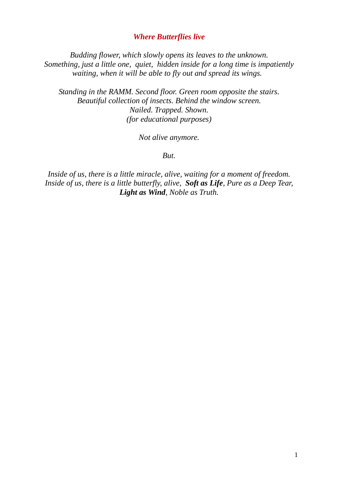# *Where Butterflies live*

*Budding flower, which slowly opens its leaves to the unknown. Something, just a little one, quiet, hidden inside for a long time is impatiently waiting, when it will be able to fly out and spread its wings.* 

*Standing in the RAMM. Second floor. Green room opposite the stairs. Beautiful collection of insects. Behind the window screen. Nailed. Trapped. Shown. (for educational purposes)* 

*Not alive anymore.* 

*But.* 

*Inside of us, there is a little miracle, alive, waiting for a moment of freedom. Inside of us, there is a little butterfly, alive, Soft as Life, Pure as a Deep Tear, Light as Wind, Noble as Truth.*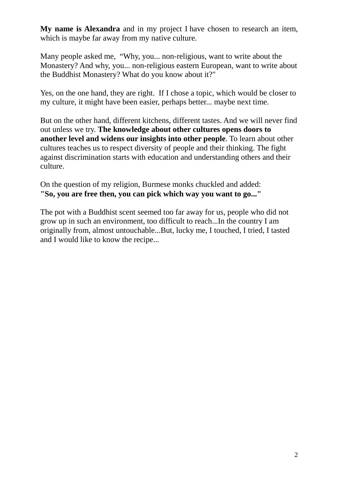**My name is Alexandra** and in my project I have chosen to research an item, which is maybe far away from my native culture.

Many people asked me, "Why, you... non-religious, want to write about the Monastery? And why, you... non-religious eastern European, want to write about the Buddhist Monastery? What do you know about it?"

Yes, on the one hand, they are right. If I chose a topic, which would be closer to my culture, it might have been easier, perhaps better... maybe next time.

But on the other hand, different kitchens, different tastes. And we will never find out unless we try. **The knowledge about other cultures opens doors to another level and widens our insights into other people**. To learn about other cultures teaches us to respect diversity of people and their thinking. The fight against discrimination starts with education and understanding others and their culture.

On the question of my religion, Burmese monks chuckled and added: **"So, you are free then, you can pick which way you want to go..."** 

The pot with a Buddhist scent seemed too far away for us, people who did not grow up in such an environment, too difficult to reach...In the country I am originally from, almost untouchable...But, lucky me, I touched, I tried, I tasted and I would like to know the recipe...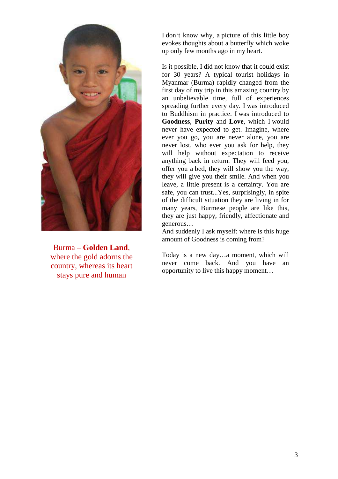

Burma – **Golden Land**, where the gold adorns the country, whereas its heart stays pure and human

I don't know why, a picture of this little boy evokes thoughts about a butterfly which woke up only few months ago in my heart.

Is it possible, I did not know that it could exist for 30 years? A typical tourist holidays in Myanmar (Burma) rapidly changed from the first day of my trip in this amazing country by an unbelievable time, full of experiences spreading further every day. I was introduced to Buddhism in practice. I was introduced to **Goodness**, **Purity** and **Love**, which I would never have expected to get. Imagine, where ever you go, you are never alone, you are never lost, who ever you ask for help, they will help without expectation to receive anything back in return. They will feed you, offer you a bed, they will show you the way, they will give you their smile. And when you leave, a little present is a certainty. You are safe, you can trust...Yes, surprisingly, in spite of the difficult situation they are living in for many years, Burmese people are like this, they are just happy, friendly, affectionate and generous…

And suddenly I ask myself: where is this huge amount of Goodness is coming from?

Today is a new day…a moment, which will never come back. And you have an opportunity to live this happy moment…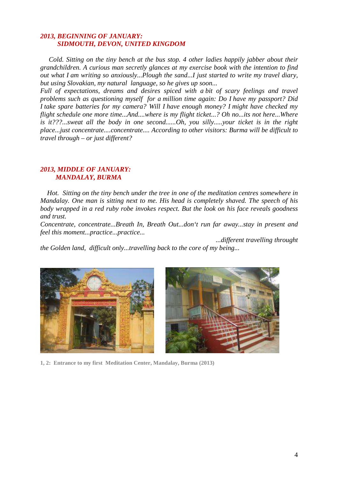## *2013, BEGINNING OF JANUARY: SIDMOUTH, DEVON, UNITED KINGDOM*

 *Cold. Sitting on the tiny bench at the bus stop. 4 other ladies happily jabber about their grandchildren. A curious man secretly glances at my exercise book with the intention to find out what I am writing so anxiously...Plough the sand...I just started to write my travel diary, but using Slovakian, my natural language, so he gives up soon...* 

*Full of expectations, dreams and desires spiced with a bit of scary feelings and travel problems such as questioning myself for a million time again: Do I have my passport? Did I take spare batteries for my camera? Will I have enough money? I might have checked my flight schedule one more time...And....where is my flight ticket...? Oh no...its not here...Where is it???...sweat all the body in one second......Oh, you silly.....your ticket is in the right place...just concentrate....concentrate.... According to other visitors: Burma will be difficult to travel through – or just different?* 

### *2013, MIDDLE OF JANUARY: MANDALAY, BURMA*

 *Hot. Sitting on the tiny bench under the tree in one of the meditation centres somewhere in Mandalay. One man is sitting next to me. His head is completely shaved. The speech of his body wrapped in a red ruby robe invokes respect. But the look on his face reveals goodness and trust.* 

*Concentrate, concentrate...Breath In, Breath Out...don't run far away...stay in present and feel this moment...practice...practice...* 

 *...different travelling throught the Golden land, difficult only...travelling back to the core of my being...* 





**1, 2: Entrance to my first Meditation Center, Mandalay, Burma (2013)**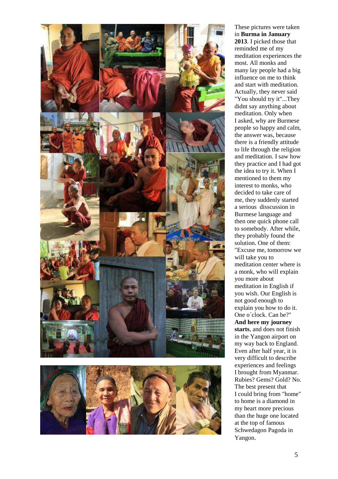



These pictures were taken in **Burma in January 2013**. I picked those that reminded me of my meditation experiences the most. All monks and many lay people had a big influence on me to think and start with meditation. Actually, they never said "You should try it"...They didnt say anything about meditation. Only when I asked, why are Burmese people so happy and calm, the answer was, because there is a friendly attitude to life through the religion and meditation. I saw how they practice and I had got the idea to try it. When I mentioned to them my interest to monks, who decided to take care of me, they suddenly started a serious disscussion in Burmese language and then one quick phone call to somebody. After while, they probably found the solution. One of them: "Excuse me, tomorrow we will take you to meditation center where is a monk, who will explain you more about meditation in English if you wish. Our English is not good enough to explain you how to do it. One o´clock. Can be?" **And here my journey starts**, and does not finish in the Yangon airport on my way back to England. Even after half year, it is very difficult to describe experiences and feelings I brought from Myanmar. Rubies? Gems? Gold? No. The best present that I could bring from "home" to home is a diamond in my heart more precious than the huge one located at the top of famous Schwedagon Pagoda in Yangon.